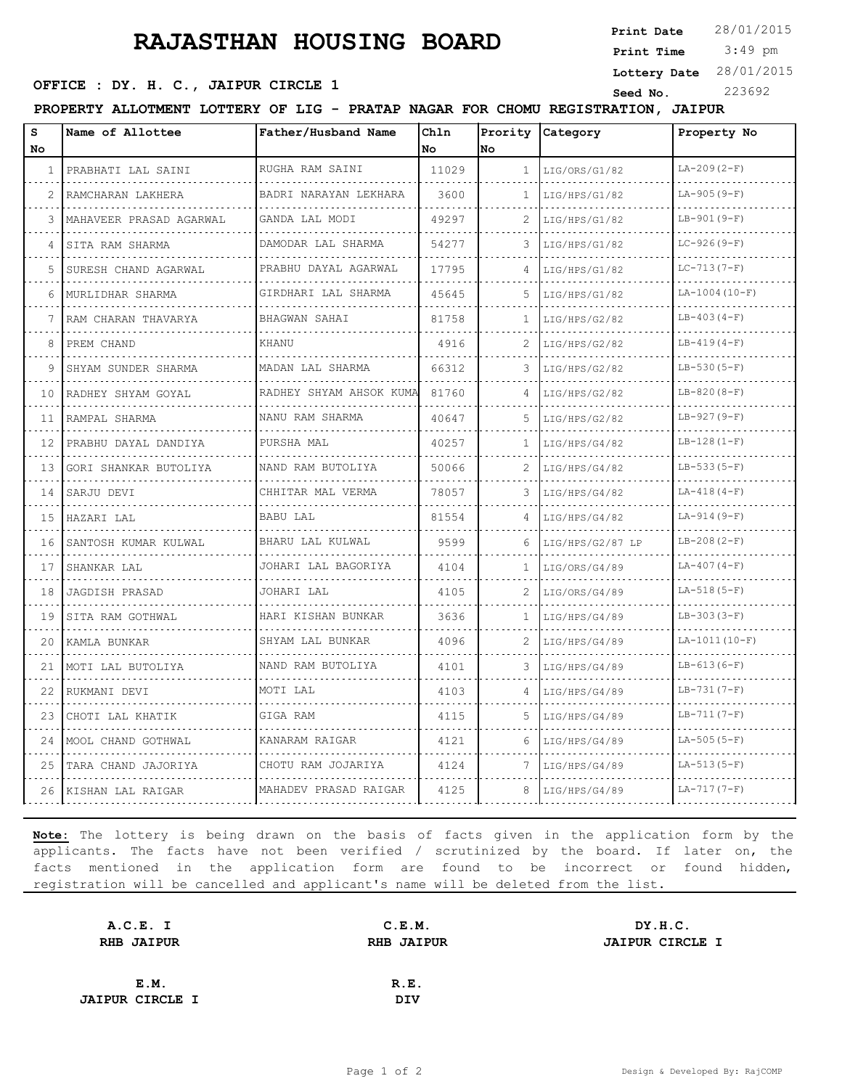## **RAJASTHAN HOUSING BOARD**

**Print Date**  $28/01/2015$ 

 3:49 pm **Print Time**

**OFFICE : DY. H. C., JAIPUR CIRCLE 1** Seed No. 223692

**Lottery Date** 28/01/2015

**PROPERTY ALLOTMENT LOTTERY OF LIG - PRATAP NAGAR FOR CHOMU REGISTRATION, JAIPUR**

| s<br>No      | Name of Allottee        | Father/Husband Name     | Chln<br><b>No</b> | Prority<br>No  | Category         | Property No     |
|--------------|-------------------------|-------------------------|-------------------|----------------|------------------|-----------------|
| $\mathbf{1}$ | PRABHATI LAL SAINI      | RUGHA RAM SAINI         | 11029             | $\mathbf{1}$   | LIG/ORS/G1/82    | $LA-209(2-F)$   |
| 2            | RAMCHARAN LAKHERA       | BADRI NARAYAN LEKHARA   | 3600              | 1              | LIG/HPS/G1/82    | $LA-905(9-F)$   |
| 3            | MAHAVEER PRASAD AGARWAL | GANDA LAL MODI          | 49297             | 2              | LIG/HPS/G1/82    | $LB-901(9-F)$   |
| 4            | SITA RAM SHARMA         | DAMODAR LAL SHARMA      | 54277             | 3              | LIG/HPS/G1/82    | $LC-926(9-F)$   |
| 5            | SURESH CHAND AGARWAL    | PRABHU DAYAL AGARWAL    | 17795             |                | LIG/HPS/G1/82    | $LC-713(7-F)$   |
| 6            | MURLIDHAR SHARMA<br>.   | GIRDHARI LAL SHARMA     | 45645             | 5              | LIG/HPS/G1/82    | $LA-1004(10-F)$ |
| 7            | RAM CHARAN THAVARYA     | BHAGWAN SAHAI           | 81758             | 1              | LIG/HPS/G2/82    | $LB-403(4-F)$   |
| 8            | PREM CHAND              | KHANU                   | 4916              | 2.             | LIG/HPS/G2/82    | $LB-419(4-F)$   |
| 9            | SHYAM SUNDER SHARMA     | MADAN LAL SHARMA        | 66312             | 3              | LIG/HPS/G2/82    | $LB-530(5-F)$   |
| 10           | RADHEY SHYAM GOYAL      | RADHEY SHYAM AHSOK KUMA | 81760             | 4              | LIG/HPS/G2/82    | $LB-820(8-F)$   |
| 11           | RAMPAL SHARMA           | NANU RAM SHARMA         | 40647             | 5              | LIG/HPS/G2/82    | $LB-927(9-F)$   |
| 12           | PRABHU DAYAL DANDIYA    | PURSHA MAL              | 40257             | 1              | LIG/HPS/G4/82    | $LB-128(1-F)$   |
| 13           | GORI SHANKAR BUTOLIYA   | NAND RAM BUTOLIYA       | 50066             | $\overline{2}$ | LIG/HPS/G4/82    | $LB-533(5-F)$   |
| 14           | SARJU DEVI              | CHHITAR MAL VERMA       | 78057             | 3              | LIG/HPS/G4/82    | $LA-418(4-F)$   |
| 15           | HAZARI LAL              | BABU LAL                | 81554             | 4              | LIG/HPS/G4/82    | $LA-914(9-F)$   |
| 16           | SANTOSH KUMAR KULWAL    | BHARU LAL KULWAL        | 9599              | 6              | LIG/HPS/G2/87 LP | $LB-208(2-F)$   |
| 17           | SHANKAR LAL             | JOHARI LAL BAGORIYA     | 4104              | 1              | LIG/ORS/G4/89    | $LA-407(4-F)$   |
| 18           | JAGDISH PRASAD          | JOHARI LAL              | 4105              | 2              | LIG/ORS/G4/89    | $LA-518(5-F)$   |
| 19           | SITA RAM GOTHWAL        | HARI KISHAN BUNKAR      | 3636              | 1              | LIG/HPS/G4/89    | $LB-303(3-F)$   |
| 20           | KAMLA BUNKAR            | SHYAM LAL BUNKAR        | 4096              |                | LIG/HPS/G4/89    | $LA-1011(10-F)$ |
| 21           | MOTI LAL BUTOLIYA       | NAND RAM BUTOLIYA       | 4101              | 3              | LIG/HPS/G4/89    | $LB-613(6-F)$   |
| 22           | RUKMANI DEVI            | MOTI LAL                | 4103              | 4              | LIG/HPS/G4/89    | $LB-731(7-F)$   |
| 23           | CHOTI LAL KHATIK        | GIGA RAM                | 4115              | 5.             | LIG/HPS/G4/89    | $LB-711(7-F)$   |
| 24           | MOOL CHAND GOTHWAL      | KANARAM RAIGAR          | 4121              | 6              | LIG/HPS/G4/89    | $LA-505(5-F)$   |
| 25           | TARA CHAND JAJORIYA     | CHOTU RAM JOJARIYA      | 4124              | 7              | LIG/HPS/G4/89    | $LA-513(5-F)$   |
| 26           | KISHAN LAL RAIGAR       | MAHADEV PRASAD RAIGAR   | 4125              | 8              | LIG/HPS/G4/89    | $LA-717(7-F)$   |

**Note:** The lottery is being drawn on the basis of facts given in the application form by the applicants. The facts have not been verified / scrutinized by the board. If later on, the facts mentioned in the application form are found to be incorrect or found hidden, registration will be cancelled and applicant's name will be deleted from the list.

| A.C.E. I               | C.E.M.            | DY.H.C.                |
|------------------------|-------------------|------------------------|
| <b>RHB JAIPUR</b>      | <b>RHB JAIPUR</b> | <b>JAIPUR CIRCLE I</b> |
|                        |                   |                        |
| E.M.                   | R.E.              |                        |
| <b>JAIPUR CIRCLE I</b> | <b>DIV</b>        |                        |